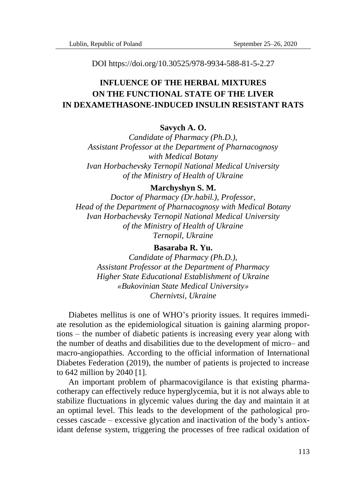DOI https://doi.org/10.30525/978-9934-588-81-5-2.27

# **INFLUENCE OF THE HERBAL MIXTURES ON THE FUNCTIONAL STATE OF THE LIVER IN DEXAMETHASONE-INDUCED INSULIN RESISTANT RATS**

## **Savych A. O.**

*Candidate of Pharmacy (Ph.D.), Assistant Professor at the Department of Pharnacognosy with Medical Botany Ivan Horbachevsky Ternopil National Medical University of the Ministry of Health of Ukraine*

#### **Marchyshyn S. M.**

*Doctor of Pharmacy (Dr.habil.), Professor, Head of the Department of Pharnacognosy with Medical Botany Ivan Horbachevsky Ternopil National Medical University of the Ministry of Health of Ukraine Ternopil, Ukraine*

### **Basaraba R. Yu.**

*Candidate of Pharmacy (Ph.D.), Assistant Professor at the Department of Pharmacy Higher State Educational Establishment of Ukraine «Bukovinian State Medical University» Chernivtsi, Ukraine*

Diabetes mellitus is one of WHO's priority issues. It requires immediate resolution as the epidemiological situation is gaining alarming proportions – the number of diabetic patients is increasing every year along with the number of deaths and disabilities due to the development of micro– and macro-angiopathies. According to the official information of International Diabetes Federation (2019), the number of patients is projected to increase to 642 million by 2040 [1].

An important problem of pharmacovigilance is that existing pharmacotherapy can effectively reduce hyperglycemia, but it is not always able to stabilize fluctuations in glycemic values during the day and maintain it at an optimal level. This leads to the development of the pathological processes cascade – excessive glycation and inactivation of the body's antioxidant defense system, triggering the processes of free radical oxidation of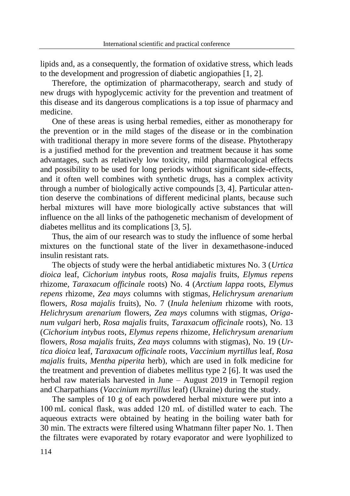lipids and, as a consequently, the formation of oxidative stress, which leads to the development and progression of diabetic angiopathies [1, 2].

Therefore, the optimization of pharmacotherapy, search and study of new drugs with hypoglycemic activity for the prevention and treatment of this disease and its dangerous complications is a top issue of pharmacy and medicine.

One of these areas is using herbal remedies, either as monotherapy for the prevention or in the mild stages of the disease or in the combination with traditional therapy in more severe forms of the disease. Phytotherapy is a justified method for the prevention and treatment because it has some advantages, such as relatively low toxicity, mild pharmacological effects and possibility to be used for long periods without significant side-effects, and it often well combines with synthetic drugs, has a complex activity through a number of biologically active compounds [3, 4]. Particular attention deserve the combinations of different medicinal plants, because such herbal mixtures will have more biologically active substances that will influence on the all links of the pathogenetic mechanism of development of diabetes mellitus and its complications [3, 5].

Thus, the aim of our research was to study the influence of some herbal mixtures on the functional state of the liver in dexamethasone-induced insulin resistant rats.

The objects of study were the herbal antidiabetic mixtures No. 3 (*Urtica dioica* leaf, *Cichorium intybus* roots*, Rosa majalis* fruits, *Elymus repens*  rhizome*, Taraxacum officinale* roots) No. 4 (*Arctium lappa* roots*, Elymus repens* rhizome*, Zea mays* columns with stigmas*, Helichrysum arenarium*  flowers*, Rosa majalis* fruits), No. 7 (*Inula helenium* rhizome with roots*, Helichrysum arenarium* flowers*, Zea mays* columns with stigmas*, Origanum vulgari* herb*, Rosa majalis* fruits*, Taraxacum officinale* roots), No. 13 (*Cichorium intybus* roots*, Elymus repens* rhizome*, Helichrysum arenarium*  flowers*, Rosa majalis* fruits*, Zea mays* columns with stigmas), No. 19 (*Urtica dioica* leaf*, Taraxacum officinale* roots*, Vaccinium myrtillus* leaf*, Rosa majalis* fruits*, Mentha piperita* herb), which are used in folk medicine for the treatment and prevention of diabetes mellitus type 2 [6]. It was used the herbal raw materials harvested in June – August 2019 in Ternopil region and Charpathians (*Vaccinium myrtillus* leaf) (Ukraine) during the study.

The samples of 10 g of each powdered herbal mixture were put into a 100 mL conical flask, was added 120 mL of distilled water to each. The aqueous extracts were obtained by heating in the boiling water bath for 30 min. The extracts were filtered using Whatmann filter paper No. 1. Then the filtrates were evaporated by rotary evaporator and were lyophilized to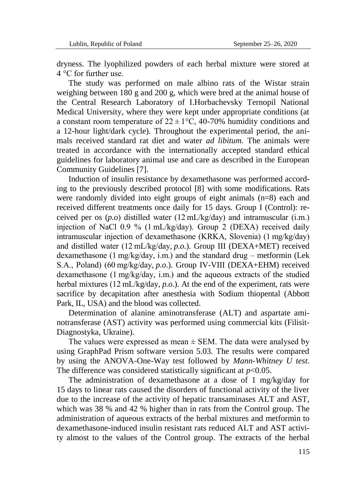dryness. The lyophilized powders of each herbal mixture were stored at 4 °C for further use.

The study was performed on male albino rats of the Wistar strain weighing between 180 g and 200 g, which were bred at the animal house of the Central Research Laboratory of I.Horbachevsky Ternopil National Medical University, where they were kept under appropriate conditions (at a constant room temperature of  $22 \pm 1$ °C, 40-70% humidity conditions and a 12-hour light/dark cycle). Throughout the experimental period, the animals received standard rat diet and water *ad libitum.* The animals were treated in accordance with the internationally accepted standard ethical guidelines for laboratory animal use and care as described in the European Community Guidelines [7].

Induction of insulin resistance by dexamethasone was performed according to the previously described protocol [8] with some modifications. Rats were randomly divided into eight groups of eight animals (n=8) each and received different treatments once daily for 15 days. Group I (Control): received per os (*p.o*) distilled water (12 mL/kg/day) and intramuscular (i.m.) injection of NaCl 0.9 % (1 mL/kg/day). Group 2 (DEXA) received daily intramuscular injection of dexamethasone (KRKA, Slovenia) (1 mg/kg/day) and distilled water (12 mL/kg/day, *p.o.*). Group III (DEXA+MET) received dexamethasone (1 $mg/kg$ day, i.m.) and the standard drug – metformin (Lek S.A., Poland) (60 mg/kg/day, *p.o*.). Group IV-VIII (DEXA+EHM) received dexamethasone (1 mg/kg/day, i.m.) and the aqueous extracts of the studied herbal mixtures (12 mL/kg/day, *p.o*.). At the end of the experiment, rats were sacrifice by decapitation after anesthesia with Sodium thiopental (Abbott Park, IL, USA) and the blood was collected.

Determination of alanine aminotransferase (ALT) and aspartate aminotransferase (AST) activity was performed using commercial kits (Filisit-Diagnostyka, Ukraine).

The values were expressed as mean  $\pm$  SEM. The data were analysed by using GraphPad Prism software version 5.03. The results were compared by using the ANOVA-One-Way test followed by *Mann*-*Whitney U test*. The difference was considered statistically significant at *p*<0.05.

The administration of dexamethasone at a dose of 1 mg/kg/day for 15 days to linear rats caused the disorders of functional activity of the liver due to the increase of the activity of hepatic transaminases ALT and AST, which was 38 % and 42 % higher than in rats from the Control group. The administration of aqueous extracts of the herbal mixtures and metformin to dexamethasone-induced insulin resistant rats reduced ALT and AST activity almost to the values of the Control group. The extracts of the herbal